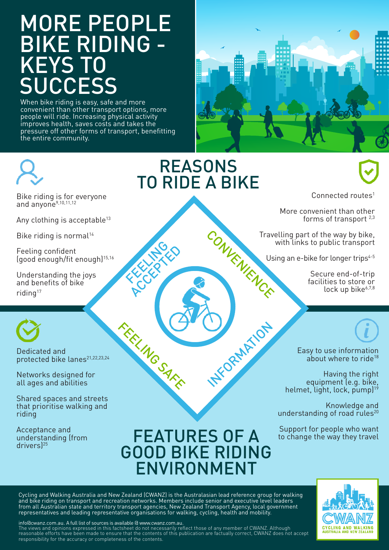## MORE PEOPLE BIKE RIDING - KEYS TO **SUCCESS**

When bike riding is easy, safe and more convenient than other transport options, more people will ride. Increasing physical activity improves health, saves costs and takes the pressure off other forms of transport, benefitting the entire community.





**REASONS** TO RIDE A BIKE

Bike riding is for everyone and anyone<sup>9,10,11,12</sup>

Any clothing is acceptable<sup>13</sup>

Bike riding is normal<sup>14</sup>

Feeling confident (good enough/fit enough)15,16

Understanding the joys and benefits of bike riding<sup>17</sup>



Dedicated and protected bike lanes<sup>21,22,23,24</sup>

Networks designed for all ages and abilities

Shared spaces and streets that prioritise walking and riding

Acceptance and understanding (from drivers)25

## FEATURES OF A Support for people who want GOOD BIKE RIDING ENVIRONMENT

**H**FORMATION

Cycling and Walking Australia and New Zealand (CWANZ) is the Australasian lead reference group for walking and bike riding on transport and recreation networks. Members include senior and executive level leaders from all Australian state and territory transport agencies, New Zealand Transport Agency, local government representatives and leading representative organisations for walking, cycling, health and mobility.

FEELING AS

FEELING SAFE

info@cwanz.com.au. A full list of sources is available @ www.cwanz.com.au.

The views and opinions expressed in this factsheet do not necessarily reflect those of any member of CWANZ. Although reasonable efforts have been made to ensure that the contents of this publication are factually correct, CWANZ does not accept responsibility for the accuracy or completeness of the contents.

Connected routes<sup>1</sup>

More convenient than other forms of transport 2,3

CONVENIENCE Travelling part of the way by bike, with links to public transport

Using an e-bike for longer trips<sup>4-5</sup>

Secure end-of-trip facilities to store or lock up bike<sup>6,7,8</sup>



Having the right equipment (e.g. bike, helmet, light, lock, pump)<sup>19</sup>

Knowledge and understanding of road rules<sup>20</sup>